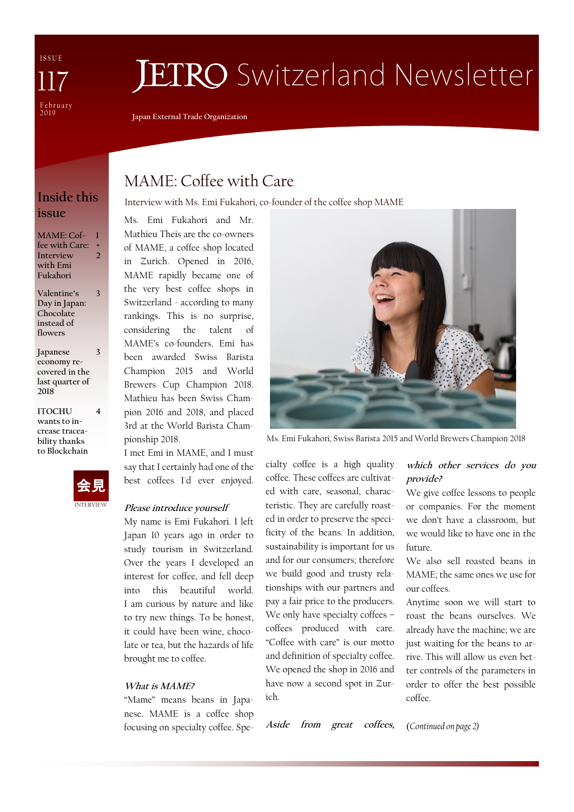I S S U E February 2019 117

# **JETRO** Switzerland Newsletter

**Japan External Trade Organization**

## **issue**

**MAME: Coffee with Care: + Interview with Emi Fukahori 1 2**

**Valentine's Day in Japan: Chocolate instead of flowers 3**

**Japanese economy recovered in the last quarter of 2018 3**

**ITOCHU wants to increase traceability thanks to Blockchain**



**4**

## MAME: Coffee with Care

**Inside this** Interview with Ms. Emi Fukahori, co-founder of the coffee shop MAME

Ms. Emi Fukahori and Mr. Mathieu Theis are the co-owners of MAME, a coffee shop located in Zurich. Opened in 2016, MAME rapidly became one of the very best coffee shops in Switzerland - according to many rankings. This is no surprise, considering the talent of MAME's co-founders. Emi has been awarded Swiss Barista Champion 2015 and World Brewers Cup Champion 2018. Mathieu has been Swiss Champion 2016 and 2018, and placed 3rd at the World Barista Championship 2018.

I met Emi in MAME, and I must say that I certainly had one of the best coffees I'd ever enjoyed.

#### **Please introduce yourself**

My name is Emi Fukahori. I left Japan 10 years ago in order to study tourism in Switzerland. Over the years I developed an interest for coffee, and fell deep into this beautiful world. I am curious by nature and like to try new things. To be honest, it could have been wine, chocolate or tea, but the hazards of life brought me to coffee.

#### **What is MAME?**

"Mame" means beans in Japanese. MAME is a coffee shop focusing on specialty coffee. Spe-



Ms. Emi Fukahori, Swiss Barista 2015 and World Brewers Champion 2018

cialty coffee is a high quality coffee. These coffees are cultivated with care, seasonal, characteristic. They are carefully roasted in order to preserve the specificity of the beans. In addition, sustainability is important for us and for our consumers; therefore we build good and trusty relationships with our partners and pay a fair price to the producers. We only have specialty coffees – coffees produced with care. "Coffee with care" is our motto and definition of specialty coffee. We opened the shop in 2016 and have now a second spot in Zurich.

**Aside from great coffees,** 

#### **which other services do you provide?**

We give coffee lessons to people or companies. For the moment we don't have a classroom, but we would like to have one in the future.

We also sell roasted beans in MAME; the same ones we use for our coffees.

Anytime soon we will start to roast the beans ourselves. We already have the machine; we are just waiting for the beans to arrive. This will allow us even better controls of the parameters in order to offer the best possible coffee.

(*Continued on page 2)*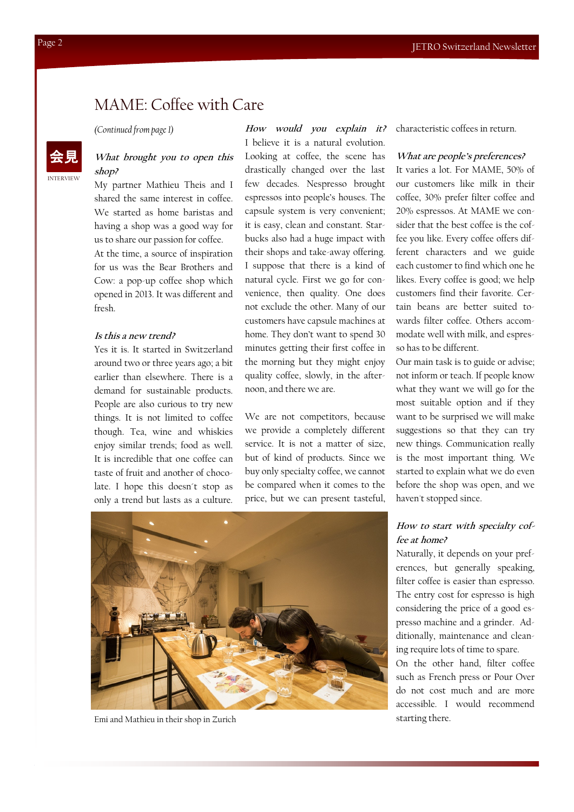## MAME: Coffee with Care

*(Continued from page 1)*

#### **What brought you to open this shop?**

My partner Mathieu Theis and I shared the same interest in coffee. We started as home baristas and having a shop was a good way for us to share our passion for coffee.

At the time, a source of inspiration for us was the Bear Brothers and Cow: a pop-up coffee shop which opened in 2013. It was different and fresh.

#### **Is this a new trend?**

Yes it is. It started in Switzerland around two or three years ago; a bit earlier than elsewhere. There is a demand for sustainable products. People are also curious to try new things. It is not limited to coffee though. Tea, wine and whiskies enjoy similar trends; food as well. It is incredible that one coffee can taste of fruit and another of chocolate. I hope this doesn´t stop as only a trend but lasts as a culture.

**How would you explain it?** I believe it is a natural evolution. Looking at coffee, the scene has drastically changed over the last few decades. Nespresso brought espressos into people's houses. The capsule system is very convenient; it is easy, clean and constant. Starbucks also had a huge impact with their shops and take-away offering. I suppose that there is a kind of natural cycle. First we go for convenience, then quality. One does not exclude the other. Many of our customers have capsule machines at home. They don't want to spend 30 minutes getting their first coffee in the morning but they might enjoy quality coffee, slowly, in the afternoon, and there we are.

We are not competitors, because we provide a completely different service. It is not a matter of size, but of kind of products. Since we buy only specialty coffee, we cannot be compared when it comes to the price, but we can present tasteful, characteristic coffees in return.

#### **What are people's preferences?**

It varies a lot. For MAME, 50% of our customers like milk in their coffee, 30% prefer filter coffee and 20% espressos. At MAME we consider that the best coffee is the coffee you like. Every coffee offers different characters and we guide each customer to find which one he likes. Every coffee is good; we help customers find their favorite. Certain beans are better suited towards filter coffee. Others accommodate well with milk, and espresso has to be different.

Our main task is to guide or advise; not inform or teach. If people know what they want we will go for the most suitable option and if they want to be surprised we will make suggestions so that they can try new things. Communication really is the most important thing. We started to explain what we do even before the shop was open, and we haven't stopped since.

#### **How to start with specialty coffee at home?**

Naturally, it depends on your preferences, but generally speaking, filter coffee is easier than espresso. The entry cost for espresso is high considering the price of a good espresso machine and a grinder. Additionally, maintenance and cleaning require lots of time to spare.

On the other hand, filter coffee such as French press or Pour Over do not cost much and are more accessible. I would recommend starting there.



Emi and Mathieu in their shop in Zurich

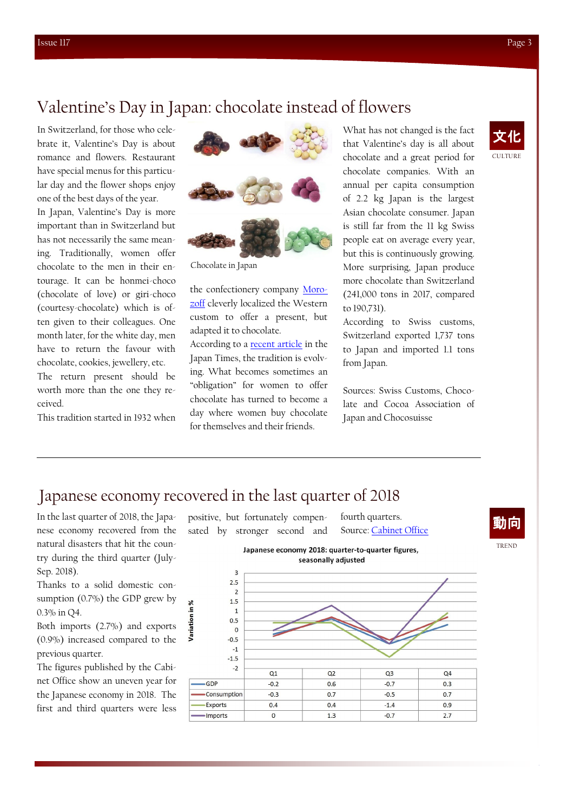## Valentine's Day in Japan: chocolate instead of flowers

In Switzerland, for those who celebrate it, Valentine's Day is about romance and flowers. Restaurant have special menus for this particular day and the flower shops enjoy one of the best days of the year.

In Japan, Valentine's Day is more important than in Switzerland but has not necessarily the same meaning. Traditionally, women offer chocolate to the men in their entourage. It can be honmei-choco (chocolate of love) or giri-choco (courtesy-chocolate) which is often given to their colleagues. One month later, for the white day, men have to return the favour with chocolate, cookies, jewellery, etc.

The return present should be worth more than the one they received.

This tradition started in 1932 when



Chocolate in Japan

the confectionery company [Moro](http://www.morozoff.co.jp/en/)[zoff](http://www.morozoff.co.jp/en/) cleverly localized the Western custom to offer a present, but adapted it to chocolate.

According to a [recent article](https://www.japantimes.co.jp/news/2019/02/13/business/not-much-obliged-japanese-women-buying-valentines-chocolates-not-colleagues/) in the Japan Times, the tradition is evolving. What becomes sometimes an "obligation" for women to offer chocolate has turned to become a day where women buy chocolate for themselves and their friends.

What has not changed is the fact that Valentine's day is all about chocolate and a great period for chocolate companies. With an annual per capita consumption of 2.2 kg Japan is the largest Asian chocolate consumer. Japan is still far from the 11 kg Swiss people eat on average every year, but this is continuously growing. More surprising, Japan produce more chocolate than Switzerland (241,000 tons in 2017, compared to 190,731).

According to Swiss customs, Switzerland exported 1,737 tons to Japan and imported 1.1 tons from Japan.

Sources: Swiss Customs, Chocolate and Cocoa Association of Japan and Chocosuisse



## Japanese economy recovered in the last quarter of 2018

Variation

In the last quarter of 2018, the Japanese economy recovered from the natural disasters that hit the country during the third quarter (July-Sep. 2018).

Thanks to a solid domestic consumption (0.7%) the GDP grew by 0.3% in Q4.

Both imports (2.7%) and exports (0.9%) increased compared to the previous quarter.

The figures published by the Cabinet Office show an uneven year for the Japanese economy in 2018. The first and third quarters were less positive, but fortunately compensated by stronger second and

fourth quarters. Source: [Cabinet Office](https://www.esri.cao.go.jp/en/sna/data/sokuhou/files/2018/qe184/pdf/main_1e.pdf)





TREND